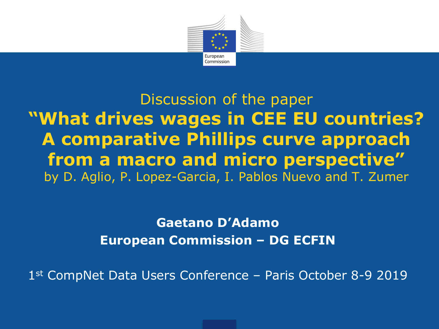

Discussion of the paper **"What drives wages in CEE EU countries? A comparative Phillips curve approach from a macro and micro perspective"** by D. Aglio, P. Lopez-Garcia, I. Pablos Nuevo and T. Zumer

> **Gaetano D'Adamo European Commission – DG ECFIN**

1st CompNet Data Users Conference – Paris October 8-9 2019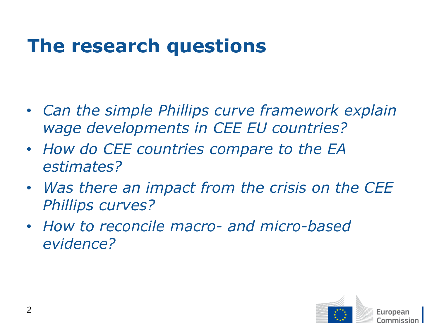### **The research questions**

- *Can the simple Phillips curve framework explain wage developments in CEE EU countries?*
- *How do CEE countries compare to the EA estimates?*
- *Was there an impact from the crisis on the CEE Phillips curves?*
- *How to reconcile macro- and micro-based evidence?*

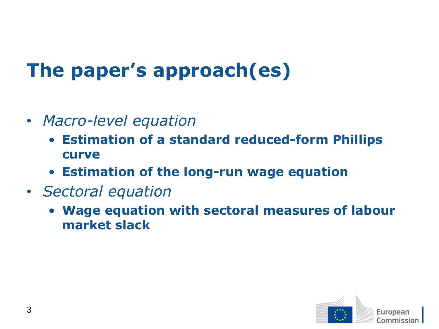# **The paper's approach(es)**

- *Macro-level equation*
	- **Estimation of a standard reduced-form Phillips curve**
	- **Estimation of the long-run wage equation**
- *Sectoral equation*
	- **Wage equation with sectoral measures of labour market slack**

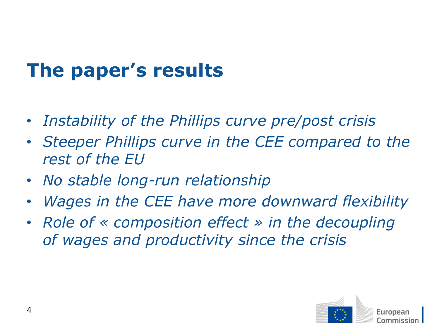# **The paper's results**

- *Instability of the Phillips curve pre/post crisis*
- *Steeper Phillips curve in the CEE compared to the rest of the EU*
- *No stable long-run relationship*
- *Wages in the CEE have more downward flexibility*
- *Role of « composition effect » in the decoupling of wages and productivity since the crisis*

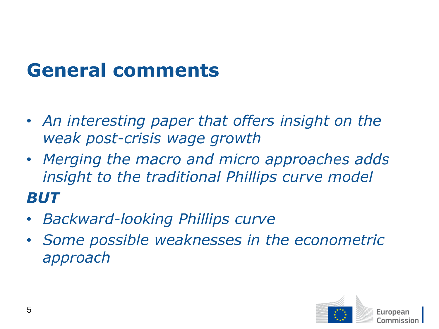### **General comments**

- *An interesting paper that offers insight on the weak post-crisis wage growth*
- *Merging the macro and micro approaches adds insight to the traditional Phillips curve model BUT*
- *Backward-looking Phillips curve*
- *Some possible weaknesses in the econometric approach*

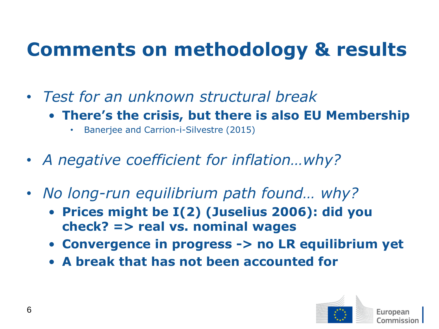## **Comments on methodology & results**

- *Test for an unknown structural break*
	- **There's the crisis, but there is also EU Membership**
		- Banerjee and Carrion-i-Silvestre (2015)
- *A negative coefficient for inflation…why?*
- *No long-run equilibrium path found… why?*
	- **Prices might be I(2) (Juselius 2006): did you check? => real vs. nominal wages**
	- **Convergence in progress -> no LR equilibrium yet**
	- **A break that has not been accounted for**